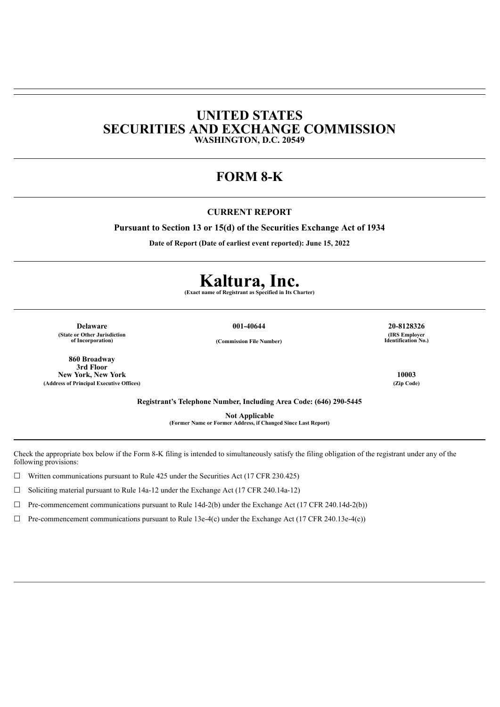### **UNITED STATES SECURITIES AND EXCHANGE COMMISSION WASHINGTON, D.C. 20549**

## **FORM 8-K**

### **CURRENT REPORT**

**Pursuant to Section 13 or 15(d) of the Securities Exchange Act of 1934**

**Date of Report (Date of earliest event reported): June 15, 2022**

# **Kaltura, Inc. (Exact name of Registrant as Specified in Its Charter)**

**Delaware 001-40644 20-8128326 (State or Other Jurisdiction**

**860 Broadway 3rd Floor New York, New York 10003 (Address of Principal Executive Offices) (Zip Code)**

**(IRS Employer Identification No.)**

**Registrant's Telephone Number, Including Area Code: (646) 290-5445**

**Not Applicable**

**(Former Name or Former Address, if Changed Since Last Report)**

Check the appropriate box below if the Form 8-K filing is intended to simultaneously satisfy the filing obligation of the registrant under any of the following provisions:

 $\Box$  Written communications pursuant to Rule 425 under the Securities Act (17 CFR 230.425)

☐ Soliciting material pursuant to Rule 14a-12 under the Exchange Act (17 CFR 240.14a-12)

 $\Box$  Pre-commencement communications pursuant to Rule 14d-2(b) under the Exchange Act (17 CFR 240.14d-2(b))

 $\Box$  Pre-commencement communications pursuant to Rule 13e-4(c) under the Exchange Act (17 CFR 240.13e-4(c))

**of Incorporation) (Commission File Number)**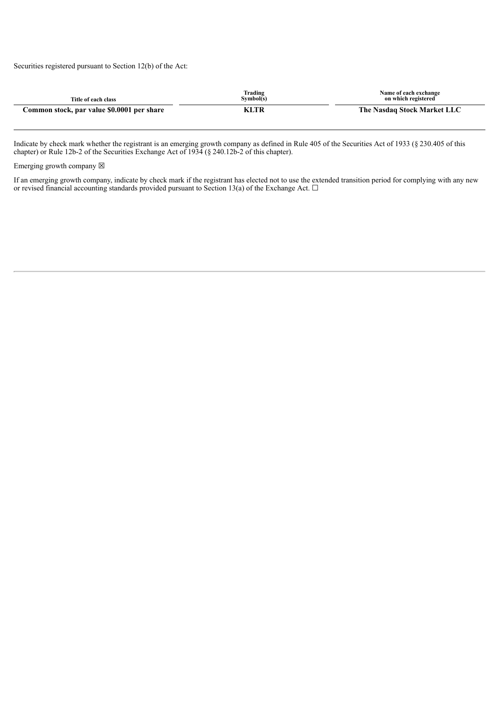Securities registered pursuant to Section 12(b) of the Act:

| Title of each class                        | Trading<br>Sumbol(s) | Name of each exchange<br>on which registered |
|--------------------------------------------|----------------------|----------------------------------------------|
| Common stock, par value \$0.0001 per share | KLTR                 | The Nasdaq Stock Market LLC                  |

Indicate by check mark whether the registrant is an emerging growth company as defined in Rule 405 of the Securities Act of 1933 (§ 230.405 of this chapter) or Rule 12b-2 of the Securities Exchange Act of 1934 (§ 240.12b-2 of this chapter).

Emerging growth company  $\boxtimes$ 

If an emerging growth company, indicate by check mark if the registrant has elected not to use the extended transition period for complying with any new or revised financial accounting standards provided pursuant to Section 13(a) of the Exchange Act.  $\Box$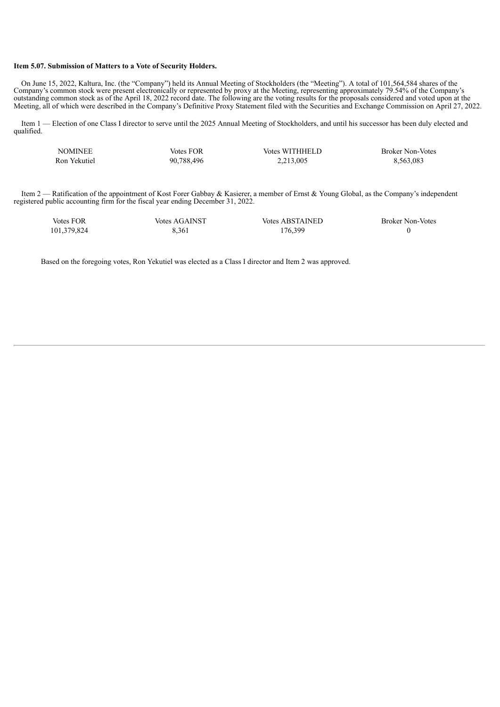#### **Item 5.07. Submission of Matters to a Vote of Security Holders.**

On June 15, 2022, Kaltura, Inc. (the "Company") held its Annual Meeting of Stockholders (the "Meeting"). A total of 101,564,584 shares of the Company's common stock were present electronically or represented by proxy at the Meeting, representing approximately 79.54% of the Company's outstanding common stock as of the April 18, 2022 record date. The following are the voting results for the proposals considered and voted upon at the Meeting, all of which were described in the Company's Definitive Proxy Statement filed with the Securities and Exchange Commission on April 27, 2022.

Item 1 — Election of one Class I director to serve until the 2025 Annual Meeting of Stockholders, and until his successor has been duly elected and qualified.

| <b>NOMINEE</b> | <b>Votes FOR</b> | Votes WITHHELD | <b>Broker Non-Votes</b> |
|----------------|------------------|----------------|-------------------------|
| Ron Yekutiel   | 90,788,496       | 2,213,005      | 8,563,083               |

Item 2 — Ratification of the appointment of Kost Forer Gabbay & Kasierer, a member of Ernst & Young Global, as the Company's independent registered public accounting firm for the fiscal year ending December 31, 2022.

| <b>Votes FOR</b> | <b>Votes AGAINST</b> | <b>Votes ABSTAINED</b> | <b>Broker Non-Votes</b> |
|------------------|----------------------|------------------------|-------------------------|
| 101,379,824      | 8,361                | 176,399                |                         |

Based on the foregoing votes, Ron Yekutiel was elected as a Class I director and Item 2 was approved.